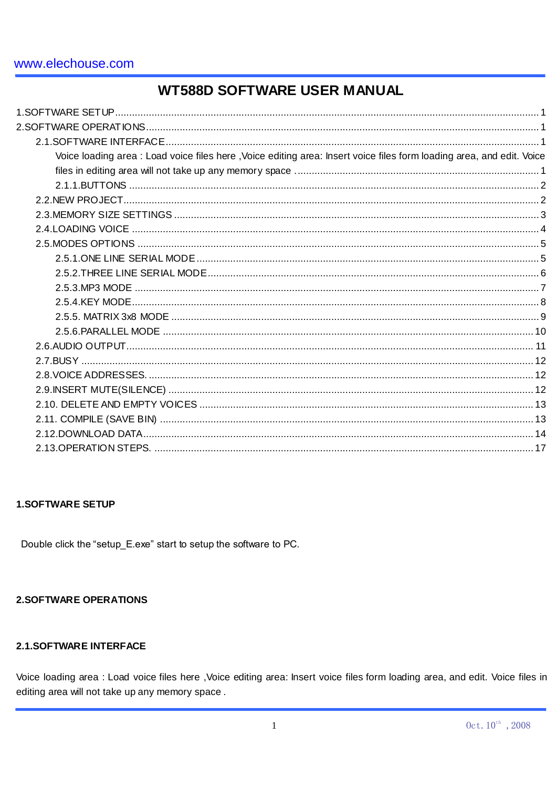# **WT588D SOFTWARE USER MANUAL**

| Voice loading area : Load voice files here, Voice editing area: Insert voice files form loading area, and edit. Voice |  |
|-----------------------------------------------------------------------------------------------------------------------|--|
|                                                                                                                       |  |
|                                                                                                                       |  |
|                                                                                                                       |  |
|                                                                                                                       |  |
|                                                                                                                       |  |
|                                                                                                                       |  |
|                                                                                                                       |  |
|                                                                                                                       |  |
|                                                                                                                       |  |
|                                                                                                                       |  |
|                                                                                                                       |  |
|                                                                                                                       |  |
|                                                                                                                       |  |
|                                                                                                                       |  |
|                                                                                                                       |  |
|                                                                                                                       |  |
|                                                                                                                       |  |
|                                                                                                                       |  |
|                                                                                                                       |  |
|                                                                                                                       |  |

# **1.SOFTWARE SETUP**

Double click the "setup\_E.exe" start to setup the software to PC.

## **2.SOFTWARE OPERATIONS**

## 2.1.SOFTWARE INTERFACE

Voice loading area : Load voice files here , Voice editing area: Insert voice files form loading area, and edit. Voice files in editing area will not take up any memory space.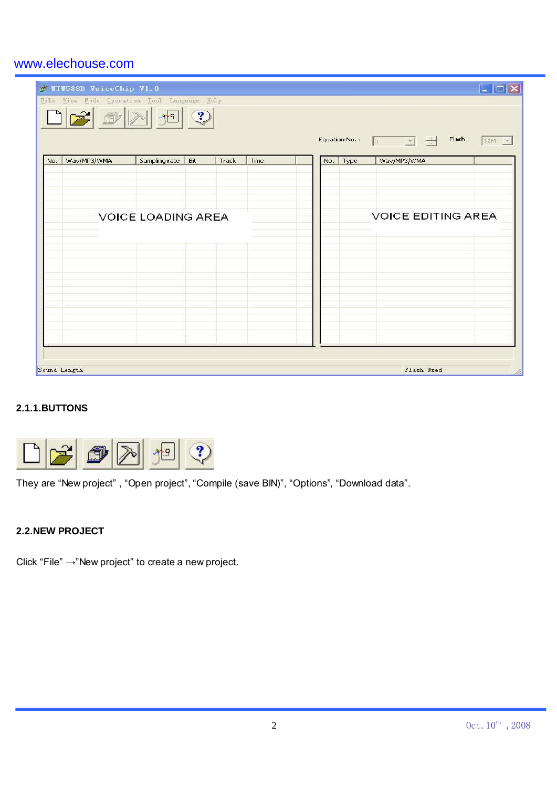|     | TIV588D VoiceChip V1.0<br>Eile View Mode Operation Tool Language Help |                           |      |       |      |     |      | Flash:<br>Equation No. : $\boxed{0}$ $\boxed{+}$ $\boxed{+}$ | $\overline{\phantom{a}}$ $\overline{\phantom{a}}$ $\overline{\phantom{a}}$ $\overline{\phantom{a}}$<br>32M |
|-----|-----------------------------------------------------------------------|---------------------------|------|-------|------|-----|------|--------------------------------------------------------------|------------------------------------------------------------------------------------------------------------|
| No. | Wav/MP3/WMA                                                           | Sampling rate             | Bit. | Track | Time | No. | Type | Wav/MP3/WMA                                                  |                                                                                                            |
|     |                                                                       | <b>VOICE LOADING AREA</b> |      |       |      |     |      | <b>VOICE EDITING AREA</b>                                    |                                                                                                            |
|     | Sound Length                                                          |                           |      |       |      |     |      | Flash Used                                                   |                                                                                                            |

# **2.1.1.BUTTONS**



They are "New project" , "Open project", "Compile (save BIN)", "Options", "Download data".

## **2.2.NEW PROJECT**

Click "File" →"New project" to create a new project.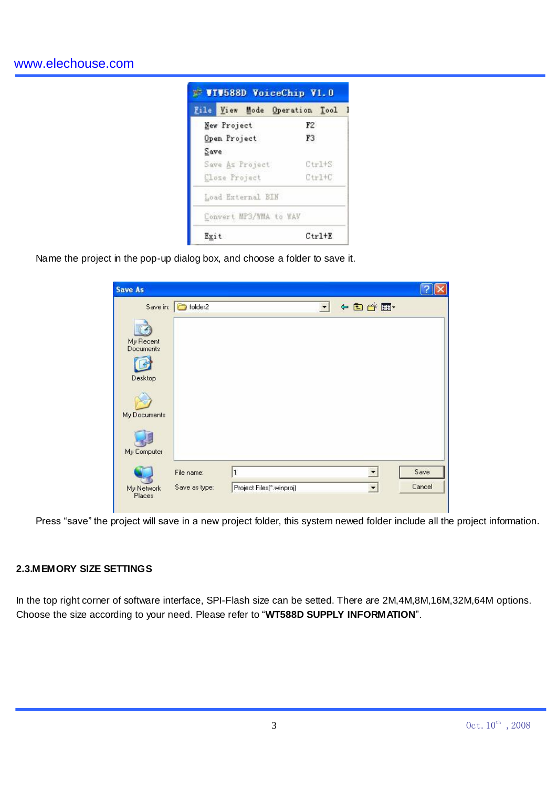| File View Mode Operation Tool |                |  |  |
|-------------------------------|----------------|--|--|
| New Project                   | F2             |  |  |
| Open Project                  | F <sub>3</sub> |  |  |
| Save                          |                |  |  |
| Save As Project               | $Ctr1+S$       |  |  |
| Close Project                 | $Ctr1+C$       |  |  |
| Load External BIN             |                |  |  |
| Convert MP3/WMA to WAV        |                |  |  |
| Exit                          | $Ctr1+E$       |  |  |

Name the project in the pop-up dialog box, and choose a folder to save it.

| <b>Save As</b>          |                    |                          |                        |                      |        |
|-------------------------|--------------------|--------------------------|------------------------|----------------------|--------|
| My Recent<br>Documents  | Save in: 6 folder2 |                          | $\left  \cdot \right $ | 4日的图                 |        |
| Desktop<br>My Documents |                    |                          |                        |                      |        |
| My Computer             |                    |                          |                        |                      |        |
|                         | File name:         | $\mathbf{1}$             |                        |                      | Save   |
| My Network<br>Places    | Save as type:      | Project Files(".winproj) |                        | $\blacktriangledown$ | Cancel |

Press "save" the project will save in a new project folder, this system newed folder include all the project information.

### **2.3.MEMORY SIZE SETTINGS**

In the top right corner of software interface, SPI-Flash size can be setted. There are 2M,4M,8M,16M,32M,64M options. Choose the size according to your need. Please refer to "**WT588D SUPPLY INFORMATION**".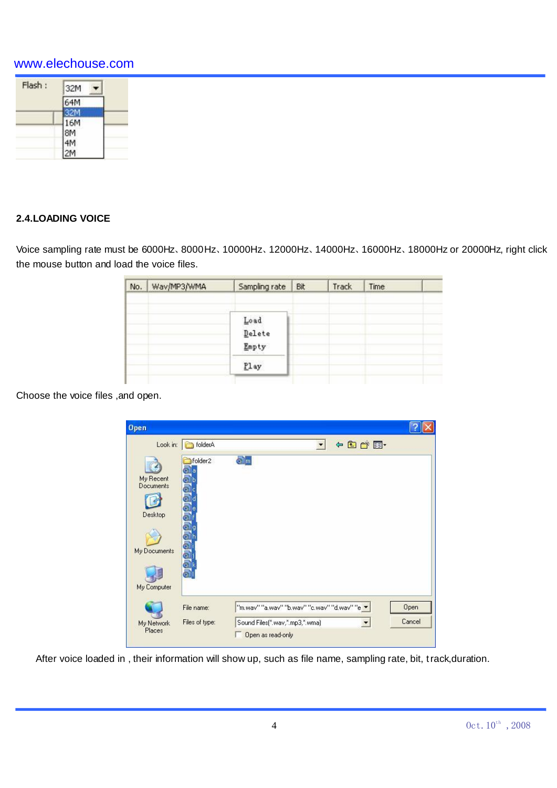| Flash: | 32M |
|--------|-----|
|        | 64M |
|        |     |
|        | 16M |
|        | 8M  |
|        |     |
|        |     |

## **2.4.LOADING VOICE**

Voice sampling rate must be 6000Hz、8000Hz、10000Hz、12000Hz、14000Hz、16000Hz、18000Hz or 20000Hz, right click the mouse button and load the voice files.

| No. | Wav/MP3/WMA | Sampling rate                | Bit | Track | Time |  |
|-----|-------------|------------------------------|-----|-------|------|--|
|     |             | Load<br>Delete<br>Empty<br>- |     |       |      |  |
|     |             | Play                         |     |       |      |  |

Choose the voice files ,and open.



After voice loaded in , their information will show up, such as file name, sampling rate, bit, track,duration.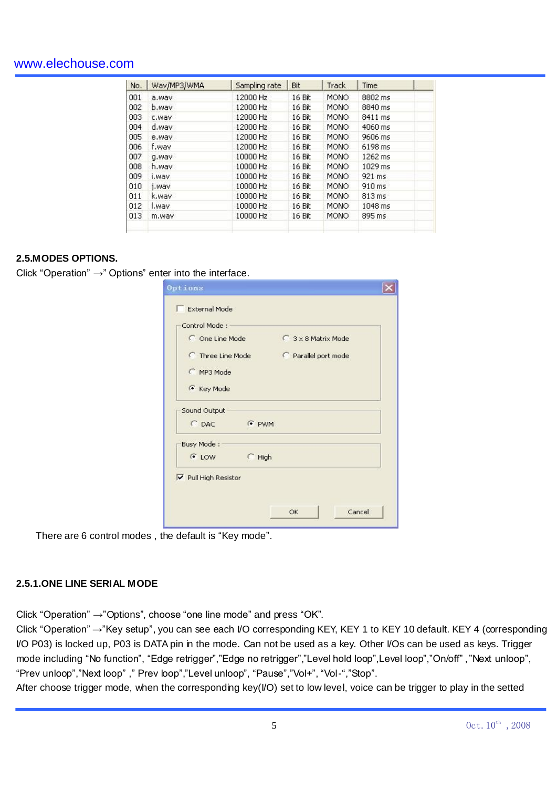| No. | Wav/MP3/WMA | Sampling rate | Bit    | <b>Track</b> | Time             |  |
|-----|-------------|---------------|--------|--------------|------------------|--|
| 001 | a.wav       | 12000 Hz      | 16 Bit | <b>MONO</b>  | 8802 ms          |  |
| 002 | b.way       | 12000 Hz      | 16 Bit | MONO         | 8840 ms          |  |
| 003 | c.way       | 12000 Hz      | 16 Bit | <b>MONO</b>  | 8411 ms          |  |
| 004 | d.way       | 12000 Hz      | 16 Bit | <b>MONO</b>  | 4060 ms          |  |
| 005 | e.way       | 12000 Hz      | 16 Bit | <b>MONO</b>  | 9606 ms          |  |
| 006 | f.way       | 12000 Hz      | 16 Bit | MONO         | 6198 ms          |  |
| 007 | vew.p       | 10000 Hz      | 16 Bit | <b>MONO</b>  | 1262 ms          |  |
| 008 | h.way       | 10000 Hz      | 16 Bit | <b>MONO</b>  | 1029 ms          |  |
| 009 | i.wav       | 10000 Hz      | 16 Bit | <b>MONO</b>  | 921 ms           |  |
| 010 | j.wav       | 10000 Hz      | 16 Bit | MONO         | 910 ms           |  |
| 011 | k.way       | 10000 Hz      | 16 Bit | <b>MONO</b>  | $813 \text{ ms}$ |  |
| 012 | l.way       | 10000 Hz      | 16 Bit | <b>MONO</b>  | 1048 ms          |  |
| 013 | m.way       | 10000 Hz      | 16 Bit | <b>MONO</b>  | 895 ms           |  |
|     |             |               |        |              |                  |  |

## **2.5.MODES OPTIONS.**

Click "Operation" →" Options" enter into the interface.

| C One Line Mode             |          | 3 x 8 Matrix Mode  |  |  |  |  |
|-----------------------------|----------|--------------------|--|--|--|--|
| <b>C</b> Three Line Mode    |          | Parallel port mode |  |  |  |  |
| C MP3 Mode                  |          |                    |  |  |  |  |
| C Key Mode                  |          |                    |  |  |  |  |
| Sound Output                |          |                    |  |  |  |  |
| $C$ DAC                     | F PWM    |                    |  |  |  |  |
| Busy Mode:                  |          |                    |  |  |  |  |
| $C$ LOW                     | $C$ High |                    |  |  |  |  |
| <b>▽</b> Pull High Resistor |          |                    |  |  |  |  |

There are 6 control modes , the default is "Key mode".

## **2.5.1.ONE LINE SERIAL MODE**

Click "Operation" →"Options", choose "one line mode" and press "OK".

Click "Operation" →"Key setup", you can see each I/O corresponding KEY, KEY 1 to KEY 10 default. KEY 4 (corresponding I/O P03) is locked up, P03 is DATA pin in the mode. Can not be used as a key. Other I/Os can be used as keys. Trigger mode including "No function", "Edge retrigger","Edge no retrigger","Level hold loop",Level loop","On/off" ,"Next unloop", "Prev unloop","Next loop" ," Prev loop","Level unloop", "Pause","Vol+", "Vol-","Stop".

After choose trigger mode, when the corresponding key(I/O) set to low level, voice can be trigger to play in the setted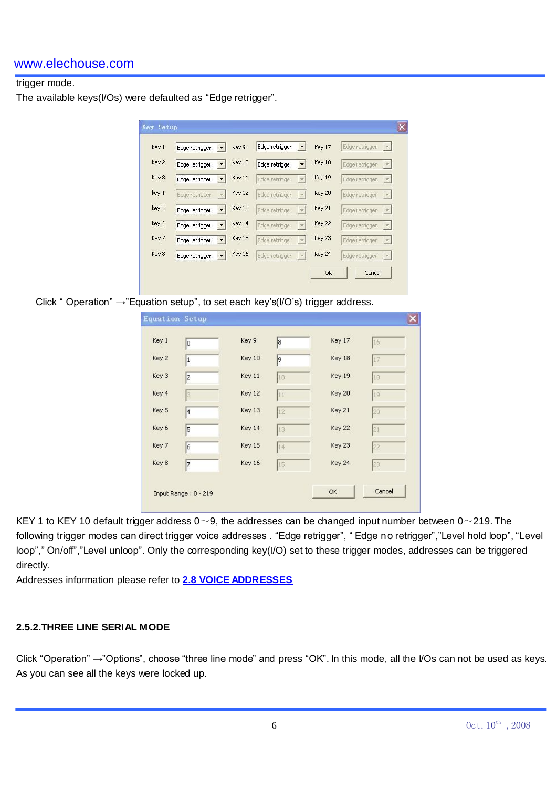# trigger mode.

The available keys(I/Os) were defaulted as "Edge retrigger".

| Key 1 | Edge retrigger | Key 9         | Edge retrigger | Key 17 | Edge retrigger<br>$\vert \nabla \vert$     |
|-------|----------------|---------------|----------------|--------|--------------------------------------------|
| Key 2 | Edge retrigger | Key 10        | Edge retrigger | Key 18 | Edge retrigger<br>$ \mathbf{v} $           |
| Key 3 | Edge retrigger | Key 11        | Edge retrigger | Key 19 | Edge retrigger<br>$ \nabla $               |
| key 4 | Edge retrigger | Key 12        | Edge retrigger | Key 20 | Edge retrigger<br>$\vert \mathbf{v} \vert$ |
| key 5 | Edge retrigger | Key 13        | Edge retrigger | Key 21 | Edge retrigger<br>$ \mathcal{A} $          |
| key 6 | Edge retrigger | Key 14        | Edge retrigger | Key 22 | Edge retrigger<br>$ \nabla $               |
| Key 7 | Edge retrigger | Key 15        | Edge retrigger | Key 23 | Edge retrigger<br>$ \nabla $               |
| Key 8 | Edge retrigger | <b>Key 16</b> | Edge retrigger | Key 24 | Edge retrigger<br>$ \mathbf{v} $           |

Click " Operation"  $\rightarrow$ "Equation setup", to set each key's( $V$ O's) trigger address.

|       | <b>Equation Setup</b> |        |    |        |        |
|-------|-----------------------|--------|----|--------|--------|
| Key 1 | Iо                    | Key 9  | 8  | Key 17 | 16     |
| Key 2 | $\vert$ 1             | Key 10 | 9  | Key 18 | 17     |
| Key 3 | 2                     | Key 11 | 10 | Key 19 | 18     |
| Key 4 | 3                     | Key 12 | 11 | Key 20 | 19     |
| Key 5 | 4                     | Key 13 | 12 | Key 21 | 20     |
| Key 6 | 5                     | Key 14 | 13 | Key 22 | 21     |
| Key 7 | 6                     | Key 15 | 14 | Key 23 | 22     |
| Key 8 | 7                     | Key 16 | 15 | Key 24 | 23     |
|       |                       |        |    |        |        |
|       | Input Range: 0 - 219  |        |    | OK.    | Cancel |

KEY 1 to KEY 10 default trigger address  $0 \sim 9$ , the addresses can be changed input number between  $0 \sim 219$ . The following trigger modes can direct trigger voice addresses . "Edge retrigger", " Edge no retrigger","Level hold loop", "Level loop"," On/off","Level unloop". Only the corresponding key(I/O) set to these trigger modes, addresses can be triggered directly.

Addresses information please refer to **2.8 VOICE ADDRESSES**

## **2.5.2.THREE LINE SERIAL MODE**

Click "Operation" →"Options", choose "three line mode" and press "OK". In this mode, all the I/Os can not be used as keys. As you can see all the keys were locked up.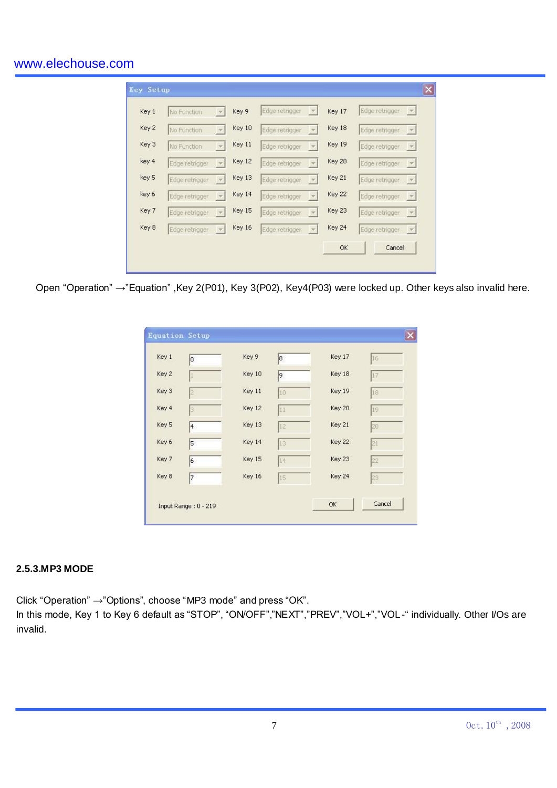| Key 1 | No Function    | <b>iv</b>                | Key 9         | Edge retrigger                             | Key 17        | Edge retrigger<br>- Pol                                     |
|-------|----------------|--------------------------|---------------|--------------------------------------------|---------------|-------------------------------------------------------------|
| Key 2 | No Function    | <b>F</b>                 | Key 10        | Edge retrigger<br>$\mathcal{A}$            | Key 18        | Edge retrigger<br>$\left\lfloor -\frac{1}{2} \right\rfloor$ |
| Key 3 | No Function    | $\mathcal{A}$            | Key 11        | Edge retrigger<br>$\mathcal{F}$            | <b>Key 19</b> | Edge retrigger<br>$ \mathbf{v} $                            |
| key 4 | Edge retrigger |                          | Key 12        | Edge retrigger                             | Key 20        | Edge retrigger<br>$\mathcal{R}$                             |
| key 5 | Edge retrigger |                          | Key 13        | Edge retrigger                             | Key 21        | Edge retrigger<br>$\left  \cdot \right $                    |
| key 6 | Edge retrigger |                          | Key 14        | Edge retrigger<br>$\overline{\mathcal{F}}$ | Key 22        | Edge retrigger<br>$ \mathbf{v} $                            |
| Key 7 | Edge retrigger | . T                      | Key 15        | Edge retrigger<br>$\tau$                   | Key 23        | Edge retrigger<br>$\left  \mathcal{F} \right $              |
| Key 8 | Edge retrigger | $\overline{\phantom{a}}$ | <b>Key 16</b> | Edge retrigger                             | Key 24        | Edge retrigger<br>$\left  \cdot \right $                    |

Open "Operation" →"Equation" ,Key 2(P01), Key 3(P02), Key4(P03) were locked up. Other keys also invalid here.

| Key 1 | o | Key 9  | 8  | Key 17 | 16 |
|-------|---|--------|----|--------|----|
| Key 2 | L | Key 10 | 9  | Key 18 | 17 |
| Key 3 | 2 | Key 11 | IO | Key 19 | 18 |
| Key 4 | 3 | Key 12 | 11 | Key 20 | 19 |
| Key 5 | 4 | Key 13 | 12 | Key 21 | 20 |
| Key 6 | 5 | Key 14 | 13 | Key 22 | 21 |
| Key 7 | 6 | Key 15 | 14 | Key 23 | 22 |
| Key 8 | 7 | Key 16 | 15 | Key 24 | 23 |

## **2.5.3.MP3 MODE**

Click "Operation" →"Options", choose "MP3 mode" and press "OK".

In this mode, Key 1 to Key 6 default as "STOP", "ON/OFF","NEXT","PREV","VOL+","VOL-" individually. Other I/Os are invalid.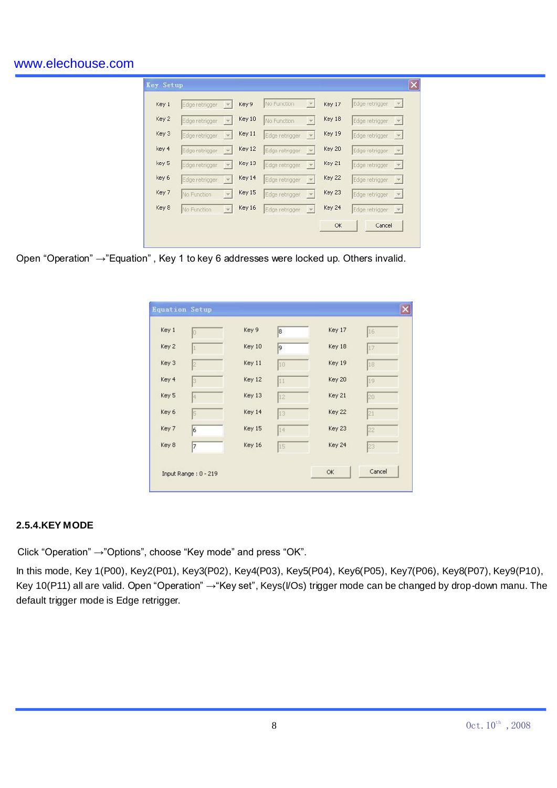| Key 1 | Edge retrigger | $\mathcal{V}$            | Key 9  | No Function    | $\overline{\mathcal{F}}$ | Key 17 | Edge retrigger | $\mathbb{E}$    |
|-------|----------------|--------------------------|--------|----------------|--------------------------|--------|----------------|-----------------|
| Key 2 | Edge retrigger | $\mathcal{P}$            | Key 10 | No Function    | $\mathcal{D}$            | Key 18 | Edge retrigger | $ \mathcal{H} $ |
| Key 3 | Edge retrigger | $\overline{\phantom{a}}$ | Key 11 | Edge retrigger | $\vert \nabla \vert$     | Key 19 | Edge retrigger | $ \nabla $      |
| key 4 | Edge retrigger | $\tau$                   | Key 12 | Edge retrigger | $\tau$                   | Key 20 | Edge retrigger | $\tau$          |
| key 5 | Edge retrigger | $\mathbf{v}$             | Key 13 | Edge retrigger | $\mathcal{W}$            | Key 21 | Edge retrigger | $ \mathcal{H} $ |
| key 6 | Edge retrigger | $\overline{\nabla}$      | Key 14 | Edge retrigger | $\mathbf v$              | Key 22 | Edge retrigger | $\mathbf{v}$    |
| Key 7 | No Function    | $\mathbf{v}$             | Key 15 | Edge retrigger | $\vert \psi \vert$       | Key 23 | Edge retrigger | $\mathcal{V}$   |
| Key 8 | No Function    | $\mathbf{v}$             | Key 16 | Edge retrigger | $ \mathbf{v} $           | Key 24 | Edge retrigger | $ \mathcal{R} $ |
|       |                |                          |        |                |                          | ОК     | Cancel         |                 |

Open "Operation" →"Equation" , Key 1 to key 6 addresses were locked up. Others invalid.

| Key 1 | Io           | Key 9  | 8  | Key 17 | 16 |
|-------|--------------|--------|----|--------|----|
| Key 2 |              | Key 10 | 9  | Key 18 | 17 |
| Key 3 | 12           | Key 11 | 10 | Key 19 | 18 |
| Key 4 | 13           | Key 12 | 11 | Key 20 | 19 |
| Key 5 | <sup>4</sup> | Key 13 | 12 | Key 21 | 20 |
| Key 6 | 15           | Key 14 | 13 | Key 22 | 21 |
| Key 7 | 6            | Key 15 | 14 | Key 23 | 22 |
| Key 8 | 7            | Key 16 | 15 | Key 24 | 23 |

#### **2.5.4.KEY MODE**

Click "Operation" →"Options", choose "Key mode" and press "OK".

In this mode, Key 1(P00), Key2(P01), Key3(P02), Key4(P03), Key5(P04), Key6(P05), Key7(P06), Key8(P07), Key9(P10), Key 10(P11) all are valid. Open "Operation" →"Key set", Keys(I/Os) trigger mode can be changed by drop-down manu. The default trigger mode is Edge retrigger.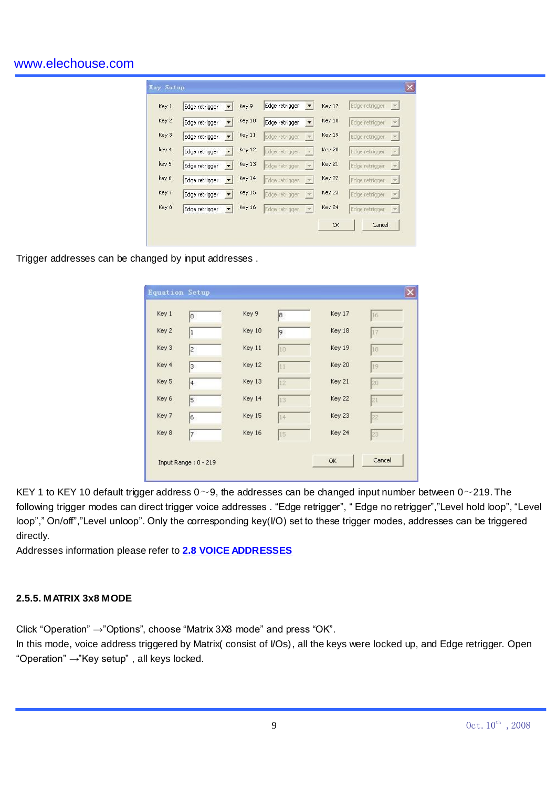| Key 1 | Edge retrigger | Key 9  | Edge retrigger | Key 17 | Edge retrigger<br>$\left\vert \mathbf{w}\right\vert$ |
|-------|----------------|--------|----------------|--------|------------------------------------------------------|
| Key 2 | Edge retrigger | Key 10 | Edge retrigger | Key 18 | Edge retrigger<br>$\mathbf{v}$                       |
| Key 3 | Edge retrigger | Key 11 | Edge retrigger | Key 19 | Edge retrigger<br>$ \mathcal{R} $                    |
| key 4 | Edge retrigger | Key 12 | Edge retrigger | Key 20 | Edge retrigger<br>$\mathcal{W}$                      |
| key 5 | Edge retrigger | Key 13 | Edge retrigger | Key 21 | Edge retrigger<br>$\mathcal{A}$                      |
| key 6 | Edge retrigger | Key 14 | Edge retrigger | Key 22 | Edge retrigger<br>$ \mathcal{F} $                    |
| Key 7 | Edge retrigger | Key 15 | Edge retrigger | Key 23 | Edge retrigger<br>$ \nabla $                         |
| Key 8 | Edge retrigger | Key 16 | Edge retrigger | Key 24 | Edge retrigger<br>$\mathbf{v}$                       |
|       |                |        |                | OK     | Cancel                                               |

Trigger addresses can be changed by input addresses .

| Key 1 | lо | Key 9  | 8            | Key 17 | 16             |
|-------|----|--------|--------------|--------|----------------|
| Key 2 | 1  | Key 10 | 9            | Key 18 | 17             |
| Key 3 | 2  | Key 11 | $ 10\rangle$ | Key 19 | I <sub>8</sub> |
| Key 4 | 3  | Key 12 | 11           | Key 20 | 19             |
| Key 5 | 4  | Key 13 | 12           | Key 21 | 20             |
| Key 6 | 5  | Key 14 | 13           | Key 22 | 21             |
| Key 7 | l6 | Key 15 | 14           | Key 23 | 22             |
| Key 8 | 7  | Key 16 | 15           | Key 24 | 23             |

KEY 1 to KEY 10 default trigger address  $0 \sim 9$ , the addresses can be changed input number between  $0 \sim 219$ . The following trigger modes can direct trigger voice addresses . "Edge retrigger", " Edge no retrigger","Level hold loop", "Level loop"," On/off","Level unloop". Only the corresponding key(I/O) set to these trigger modes, addresses can be triggered directly.

Addresses information please refer to **2.8 VOICE ADDRESSES**

## **2.5.5. MATRIX 3x8 MODE**

Click "Operation" →"Options", choose "Matrix 3X8 mode" and press "OK".

In this mode, voice address triggered by Matrix( consist of I/Os), all the keys were locked up, and Edge retrigger. Open "Operation" →"Key setup" , all keys locked.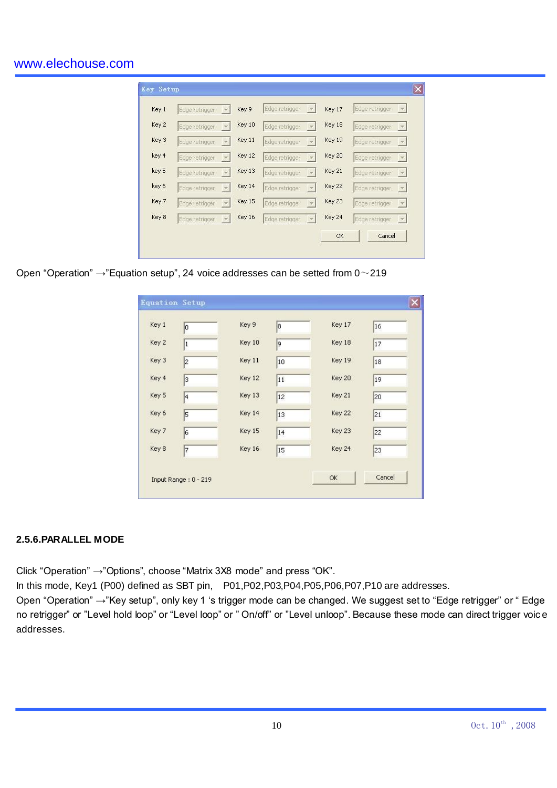| Edge retrigger<br>$ \mathbf{v} $           |
|--------------------------------------------|
|                                            |
| Edge retrigger<br>$ \nabla $               |
| Edge retrigger<br>$\vert \mathbf{v} \vert$ |
| Edge retrigger<br>$ \mathbf{v} $           |
| Edge retrigger<br>$ \nabla $               |
| Edge retrigger<br>$ \nabla $               |
| Edge retrigger<br>$ \mathbf{v} $           |
|                                            |

Open "Operation" →"Equation setup", 24 voice addresses can be setted from 0~219

|       | o         | Key 9  | 18 | Key 17 | 16 |
|-------|-----------|--------|----|--------|----|
| Key 2 | 1         | Key 10 | 9  | Key 18 | 17 |
| Key 3 | 2         | Key 11 | 10 | Key 19 | 18 |
| Key 4 | 3         | Key 12 | 11 | Key 20 | 19 |
| Key 5 | $\vert 4$ | Key 13 | 12 | Key 21 | 20 |
| Key 6 | 5         | Key 14 | 13 | Key 22 | 21 |
| Key 7 | 6         | Key 15 | 14 | Key 23 | 22 |
| Key 8 | 7         | Key 16 | 15 | Key 24 | 23 |

## **2.5.6.PARALLEL MODE**

Click "Operation" →"Options", choose "Matrix 3X8 mode" and press "OK".

In this mode, Key1 (P00) defined as SBT pin, P01,P02,P03,P04,P05,P06,P07,P10 are addresses.

Open "Operation" →"Key setup", only key 1 "s trigger mode can be changed. We suggest set to "Edge retrigger" or " Edge no retrigger" or "Level hold loop" or "Level loop" or " On/off" or "Level unloop". Because these mode can direct trigger voic e addresses.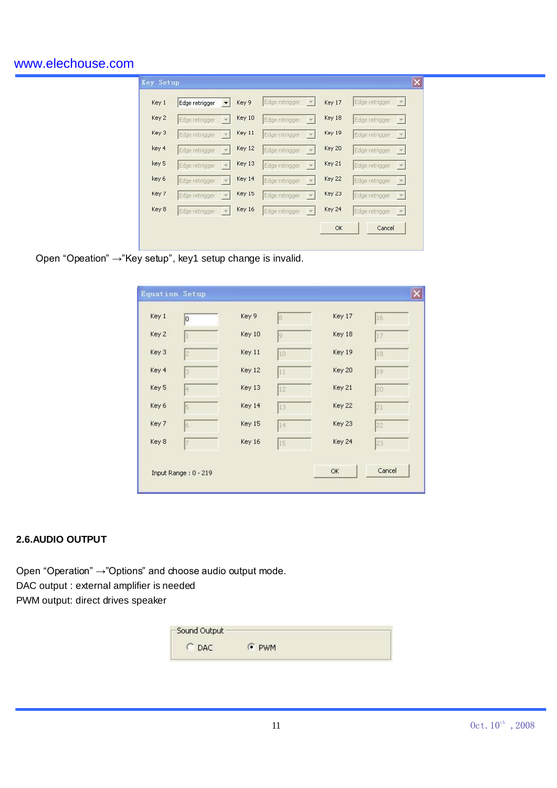| Key 1 | Edge retrigger | Key 9  | Edge retrigger<br>$ \nabla$     | Key 17 | Edge retrigger<br><b>TEST</b>     |
|-------|----------------|--------|---------------------------------|--------|-----------------------------------|
| Key 2 | Edge retrigger | Key 10 | Edge retrigger<br>$\mathcal{R}$ | Key 18 | Edge retrigger<br>$ \mathcal{R} $ |
| Key 3 | Edge retrigger | Key 11 | Edge retrigger<br>$\mathcal{R}$ | Key 19 | Edge retrigger<br>$ \nabla $      |
| key 4 | Edge retrigger | Key 12 | Edge retrigger<br>$\tau$        | Key 20 | Edge retrigger<br>$ \nabla $      |
| key 5 | Edge retrigger | Key 13 | Edge retrigger<br>$\mathcal{D}$ | Key 21 | Edge retrigger                    |
| key 6 | Edge retrigger | Key 14 | Edge retrigger<br>$\mathbf{v}$  | Key 22 | Edge retrigger<br>$ \nabla $      |
| Key 7 | Edge retrigger | Key 15 | Edge retrigger<br>$\mathbf{v}$  | Key 23 | Edge retrigger<br>$\mathcal{A}$   |
| Key 8 | Edge retrigger | Key 16 | Edge retrigger<br>$\mathcal{P}$ | Key 24 | Edge retrigger<br>$ \mathcal{H} $ |

Open "Opeation" →"Key setup", key1 setup change is invalid.

| Key 1 | O                    | Key 9  | 18          | Key 17 | 16     |
|-------|----------------------|--------|-------------|--------|--------|
| Key 2 |                      | Key 10 | $ 9\rangle$ | Key 18 | 17     |
| Key 3 | 2                    | Key 11 | 10          | Key 19 | 18     |
| Key 4 | 3.                   | Key 12 | 11          | Key 20 | 19     |
| Key 5 | 14                   | Key 13 | 12          | Key 21 | 20     |
| Key 6 | 5                    | Key 14 | 13          | Key 22 | 21     |
| Key 7 | 6                    | Key 15 | 14          | Key 23 | 22     |
| Key 8 |                      | Key 16 | 15          | Key 24 | 23     |
|       | Input Range: 0 - 219 |        |             | OK     | Cancel |

## **2.6.AUDIO OUTPUT**

Open "Operation" →"Options" and choose audio output mode. DAC output : external amplifier is needed PWM output: direct drives speaker

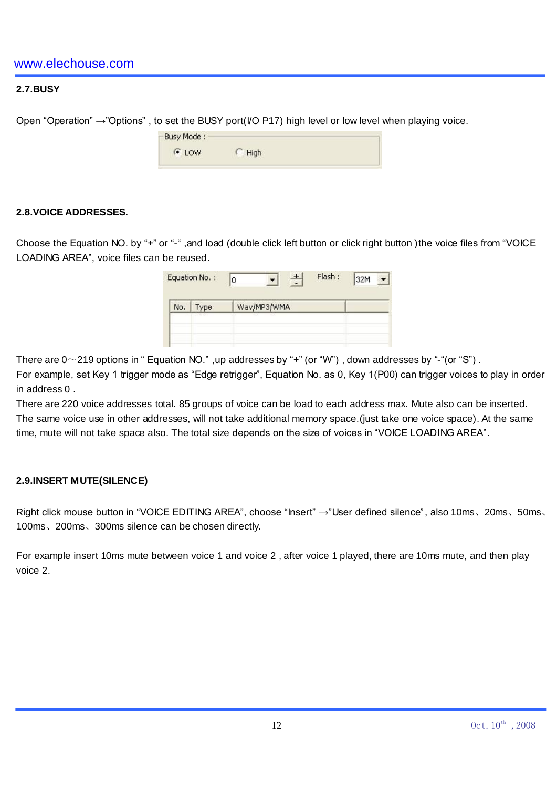# **2.7.BUSY**

Open "Operation" →"Options", to set the BUSY port(I/O P17) high level or low level when playing voice.

| High |  |
|------|--|
|      |  |

#### **2.8.VOICE ADDRESSES.**

Choose the Equation NO. by "+" or "-" ,and load (double click left button or click right button )the voice files from "VOICE LOADING AREA", voice files can be reused.

| No. | Type | Wav/MP3/WMA |  |  |
|-----|------|-------------|--|--|
|-----|------|-------------|--|--|

There are  $0 \sim$  219 options in " Equation NO.", up addresses by "+" (or "W"), down addresses by "-"(or "S").

For example, set Key 1 trigger mode as "Edge retrigger", Equation No. as 0, Key 1(P00) can trigger voices to play in order in address 0 .

There are 220 voice addresses total. 85 groups of voice can be load to each address max. Mute also can be inserted. The same voice use in other addresses, will not take additional memory space.(just take one voice space). At the same time, mute will not take space also. The total size depends on the size of voices in "VOICE LOADING AREA".

#### **2.9.INSERT MUTE(SILENCE)**

Right click mouse button in "VOICE EDITING AREA", choose "Insert" →"User defined silence", also 10ms、20ms、50ms、 100ms、200ms、300ms silence can be chosen directly.

For example insert 10ms mute between voice 1 and voice 2 , after voice 1 played, there are 10ms mute, and then play voice 2.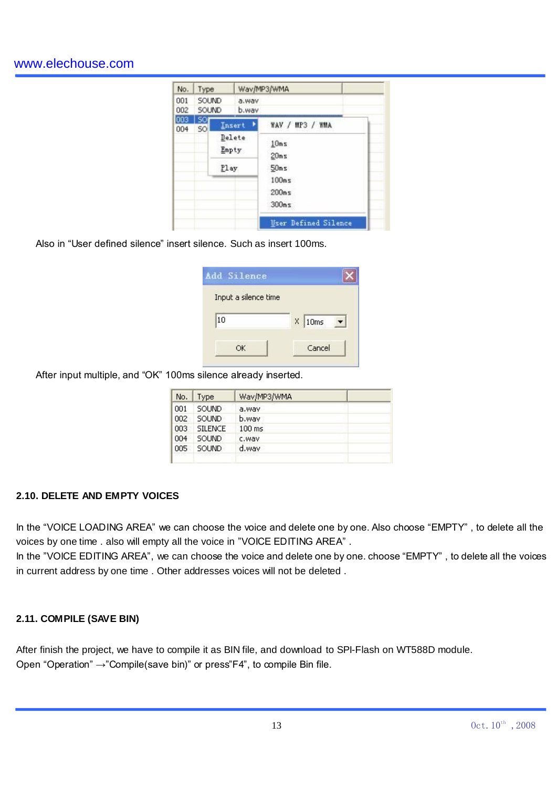| No.        | Type                          |      |                 | Wav/MP3/WMA                 |
|------------|-------------------------------|------|-----------------|-----------------------------|
| 001<br>002 | SOUND<br>SOUND                |      | a.way<br>b.way  |                             |
| 003<br>004 | <b>SOI</b><br>SO <sup>I</sup> |      | Insert          | WAV / MP3 / WMA             |
|            |                               |      | Delete<br>Empty | 10ms<br>20ms                |
|            |                               | Play |                 | 50ms                        |
|            |                               |      |                 | 100ms<br>200ms<br>300ms     |
|            |                               |      |                 | <b>User Defined Silence</b> |

Also in "User defined silence" insert silence. Such as insert 100ms.

| $X$ 10ms |
|----------|
|          |

After input multiple, and "OK" 100ms silence already inserted.

| Type           | Wav/MP3/WMA |  |
|----------------|-------------|--|
| <b>SOLIND</b>  | a.wav       |  |
| <b>SOLIND</b>  | b.way       |  |
| <b>SILENCE</b> | $100$ ms    |  |
| <b>SOLIND</b>  | c.way       |  |
| SOUND          | d.way       |  |
|                |             |  |

## **2.10. DELETE AND EMPTY VOICES**

In the "VOICE LOADING AREA" we can choose the voice and delete one by one. Also choose "EMPTY" , to delete all the voices by one time . also will empty all the voice in "VOICE EDITING AREA" .

In the "VOICE EDITING AREA", we can choose the voice and delete one by one. choose "EMPTY" , to delete all the voices in current address by one time . Other addresses voices will not be deleted .

## **2.11. COMPILE (SAVE BIN)**

After finish the project, we have to compile it as BIN file, and download to SPI-Flash on WT588D module. Open "Operation" →"Compile(save bin)" or press"F4", to compile Bin file.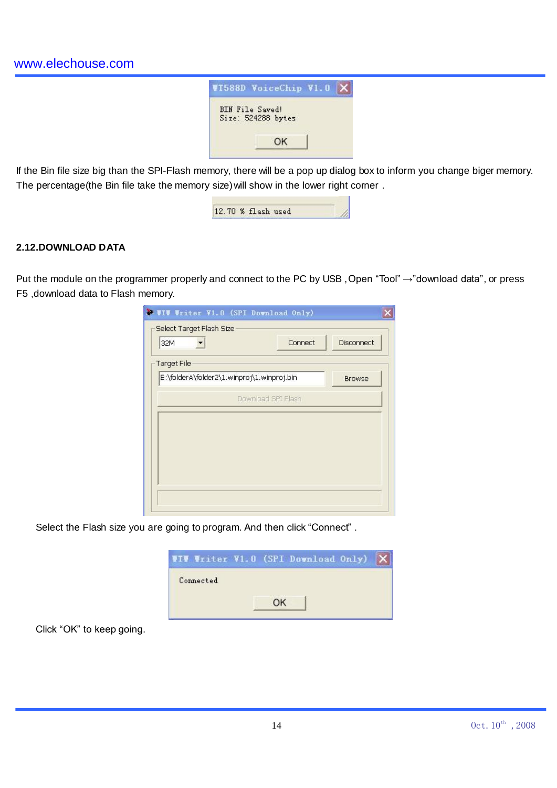

If the Bin file size big than the SPI-Flash memory, there will be a pop up dialog box to inform you change biger memory. The percentage(the Bin file take the memory size) will show in the lower right corner.

| 12.70 % flash used |  |
|--------------------|--|

## **2.12.DOWNLOAD DATA**

Put the module on the programmer properly and connect to the PC by USB, Open "Tool" →"download data", or press F5 ,download data to Flash memory.

| <b>W. WIW Writer V1.0 (SPI Download Only)</b> |                   |
|-----------------------------------------------|-------------------|
| Select Target Flash Size<br>Connect<br>32M    | <b>Disconnect</b> |
| <b>Target File</b>                            |                   |
| E:\folderA\folder2\1.winproj\1.winproj.bin    | <b>Browse</b>     |
| Download SPI Flash                            |                   |
|                                               |                   |
|                                               |                   |
|                                               |                   |
|                                               |                   |
|                                               |                   |
|                                               |                   |
|                                               |                   |

Select the Flash size you are going to program. And then click "Connect" .

|           |    | IT Writer V1.0 (SPI Download Only) |  |
|-----------|----|------------------------------------|--|
| Connected |    |                                    |  |
|           | nk |                                    |  |

Click "OK" to keep going.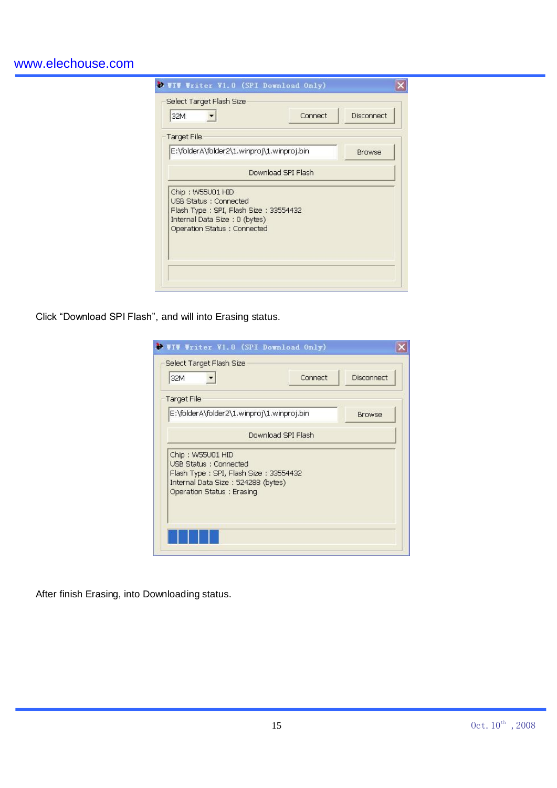| 32M                                                                                                                                                        | Connect            | Disconnect    |
|------------------------------------------------------------------------------------------------------------------------------------------------------------|--------------------|---------------|
| <b>Target File</b>                                                                                                                                         |                    |               |
| E:\folderA\folder2\1.winproj\1.winproj.bin                                                                                                                 |                    | <b>Browse</b> |
|                                                                                                                                                            | Download SPI Flash |               |
| Chip: W55U01 HID<br><b>USB Status: Connected</b><br>Flash Type: SPI, Flash Size: 33554432<br>Internal Data Size: 0 (bytes)<br>Operation Status : Connected |                    |               |

Click "Download SPI Flash", and will into Erasing status.

| <b>WIV Writer V1.0 (SPI Download Only)</b><br>Select Target Flash Size                                                                                  |                    |               |
|---------------------------------------------------------------------------------------------------------------------------------------------------------|--------------------|---------------|
| 32M                                                                                                                                                     | Connect            | Disconnect    |
| <b>Target File</b>                                                                                                                                      |                    |               |
| E:\folderA\folder2\1.winproj\1.winproj.bin                                                                                                              |                    | <b>Browse</b> |
|                                                                                                                                                         | Download SPI Flash |               |
| Chip: W55U01 HID<br>USB Status : Connected<br>Flash Type: SPI, Flash Size: 33554432<br>Internal Data Size: 524288 (bytes).<br>Operation Status: Erasing |                    |               |
|                                                                                                                                                         |                    |               |

After finish Erasing, into Downloading status.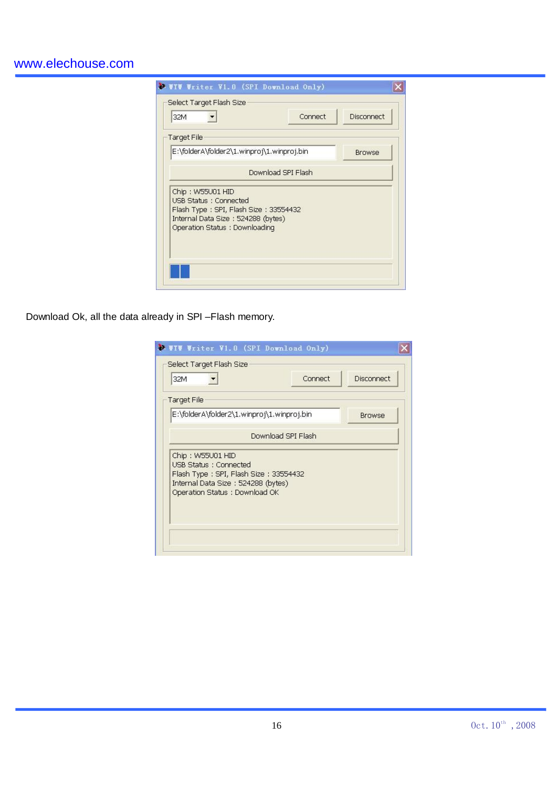| 32M                                                                                                                                                              | Connect            | Disconnect    |
|------------------------------------------------------------------------------------------------------------------------------------------------------------------|--------------------|---------------|
| <b>Target File</b>                                                                                                                                               |                    |               |
| E:\folderA\folder2\1.winproj\1.winproj.bin                                                                                                                       |                    | <b>Browse</b> |
|                                                                                                                                                                  | Download SPI Flash |               |
| Chip: W55U01 HID<br><b>USB Status: Connected</b><br>Flash Type: SPI, Flash Size: 33554432<br>Internal Data Size: 524288 (bytes)<br>Operation Status: Downloading |                    |               |

Download Ok, all the data already in SPI –Flash memory.

| 32M                                                                                                                                                                 | Connect            | Disconnect    |
|---------------------------------------------------------------------------------------------------------------------------------------------------------------------|--------------------|---------------|
| <b>Target File</b>                                                                                                                                                  |                    |               |
| E:\folderA\folder2\1.winproj\1.winproj.bin                                                                                                                          |                    | <b>Browse</b> |
|                                                                                                                                                                     | Download SPI Flash |               |
| Chip: W55U01 HID<br><b>USB Status : Connected</b><br>Flash Type: SPI, Flash Size: 33554432<br>Internal Data Size : 524288 (bytes)<br>Operation Status : Download OK |                    |               |